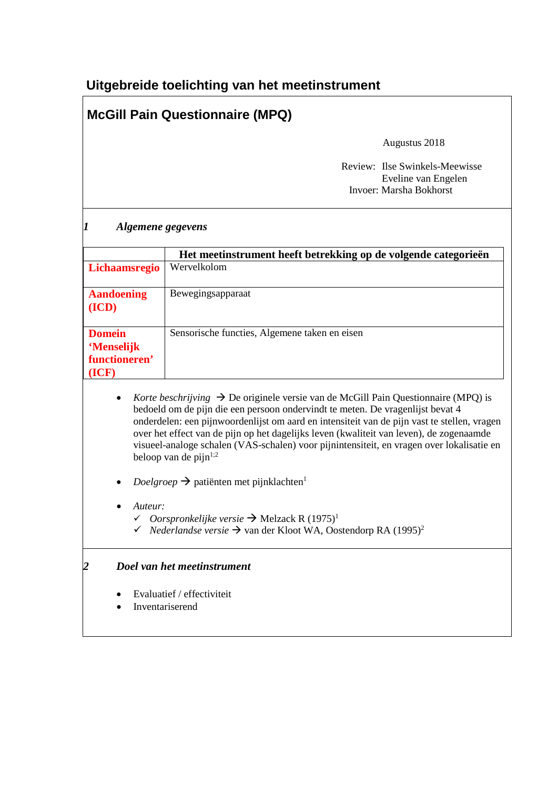# **Uitgebreide toelichting van het meetinstrument**

# **McGill Pain Questionnaire (MPQ)**

Augustus 2018

 Review: Ilse Swinkels-Meewisse Eveline van Engelen Invoer: Marsha Bokhorst

| Lichaamsregio<br><b>Aandoening</b><br>(ICD)<br><b>Domein</b><br>'Menselijk | Het meetinstrument heeft betrekking op de volgende categorieën<br>Wervelkolom<br>Bewegingsapparaat<br>Sensorische functies, Algemene taken en eisen                                                                                                                                                                                                                                                                                                                     |
|----------------------------------------------------------------------------|-------------------------------------------------------------------------------------------------------------------------------------------------------------------------------------------------------------------------------------------------------------------------------------------------------------------------------------------------------------------------------------------------------------------------------------------------------------------------|
|                                                                            |                                                                                                                                                                                                                                                                                                                                                                                                                                                                         |
|                                                                            |                                                                                                                                                                                                                                                                                                                                                                                                                                                                         |
|                                                                            |                                                                                                                                                                                                                                                                                                                                                                                                                                                                         |
| functioneren'<br>(ICF)                                                     |                                                                                                                                                                                                                                                                                                                                                                                                                                                                         |
| beloop van de pijn $1,2$                                                   | Korte beschrijving $\rightarrow$ De originele versie van de McGill Pain Questionnaire (MPQ) is<br>bedoeld om de pijn die een persoon ondervindt te meten. De vragenlijst bevat 4<br>onderdelen: een pijnwoordenlijst om aard en intensiteit van de pijn vast te stellen, vragen<br>over het effect van de pijn op het dagelijks leven (kwaliteit van leven), de zogenaamde<br>visueel-analoge schalen (VAS-schalen) voor pijnintensiteit, en vragen over lokalisatie en |
|                                                                            | $\text{Doelgroep} \rightarrow$ patiënten met pijnklachten <sup>1</sup>                                                                                                                                                                                                                                                                                                                                                                                                  |
| Auteur:                                                                    | <i>← Oorspronkelijke versie</i> → Melzack R $(1975)^1$<br>$\checkmark$ Nederlandse versie $\Rightarrow$ van der Kloot WA, Oostendorp RA (1995) <sup>2</sup>                                                                                                                                                                                                                                                                                                             |
| 2                                                                          | Doel van het meetinstrument                                                                                                                                                                                                                                                                                                                                                                                                                                             |
| Evaluatief / effectiviteit<br>Inventariserend                              |                                                                                                                                                                                                                                                                                                                                                                                                                                                                         |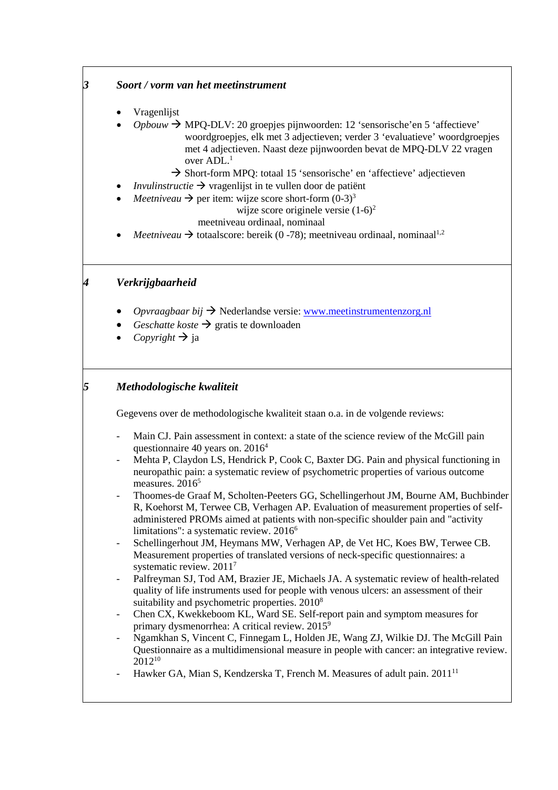| 3 | Soort / vorm van het meetinstrument                                                                                                                                                                                                                                                                                                                                                                                                                                                                                                                                                                                                                                                                                                                                                                                                                                                                                                                                                                                                                                                                                                                                                                                                                                                                                                                                                                                                                                                                                                                                                                                      |
|---|--------------------------------------------------------------------------------------------------------------------------------------------------------------------------------------------------------------------------------------------------------------------------------------------------------------------------------------------------------------------------------------------------------------------------------------------------------------------------------------------------------------------------------------------------------------------------------------------------------------------------------------------------------------------------------------------------------------------------------------------------------------------------------------------------------------------------------------------------------------------------------------------------------------------------------------------------------------------------------------------------------------------------------------------------------------------------------------------------------------------------------------------------------------------------------------------------------------------------------------------------------------------------------------------------------------------------------------------------------------------------------------------------------------------------------------------------------------------------------------------------------------------------------------------------------------------------------------------------------------------------|
|   | Vragenlijst<br>$Opbouw \rightarrow MPQ-DLV$ : 20 groepjes pijnwoorden: 12 'sensorische' en 5 'affectieve'<br>woordgroepjes, elk met 3 adjectieven; verder 3 'evaluatieve' woordgroepjes<br>met 4 adjectieven. Naast deze pijnwoorden bevat de MPQ-DLV 22 vragen<br>over ADL. <sup>1</sup><br>$\rightarrow$ Short-form MPQ: totaal 15 'sensorische' en 'affectieve' adjectieven<br><i>Invulinstructie</i> $\rightarrow$ vragenlijst in te vullen door de patiënt<br><i>Meetniveau</i> $\rightarrow$ per item: wijze score short-form $(0-3)^3$<br>wijze score originele versie $(1-6)^2$<br>meetniveau ordinaal, nominaal<br><i>Meetniveau</i> $\rightarrow$ totaalscore: bereik (0 -78); meetniveau ordinaal, nominaal <sup>1,2</sup>                                                                                                                                                                                                                                                                                                                                                                                                                                                                                                                                                                                                                                                                                                                                                                                                                                                                                    |
| 4 | Verkrijgbaarheid                                                                                                                                                                                                                                                                                                                                                                                                                                                                                                                                                                                                                                                                                                                                                                                                                                                                                                                                                                                                                                                                                                                                                                                                                                                                                                                                                                                                                                                                                                                                                                                                         |
|   | Opvraagbaar bij $\rightarrow$ Nederlandse versie: www.meetinstrumentenzorg.nl<br>Geschatte koste $\rightarrow$ gratis te downloaden<br>Copyright $\rightarrow$ ja                                                                                                                                                                                                                                                                                                                                                                                                                                                                                                                                                                                                                                                                                                                                                                                                                                                                                                                                                                                                                                                                                                                                                                                                                                                                                                                                                                                                                                                        |
| 5 | Methodologische kwaliteit                                                                                                                                                                                                                                                                                                                                                                                                                                                                                                                                                                                                                                                                                                                                                                                                                                                                                                                                                                                                                                                                                                                                                                                                                                                                                                                                                                                                                                                                                                                                                                                                |
|   | Gegevens over de methodologische kwaliteit staan o.a. in de volgende reviews:                                                                                                                                                                                                                                                                                                                                                                                                                                                                                                                                                                                                                                                                                                                                                                                                                                                                                                                                                                                                                                                                                                                                                                                                                                                                                                                                                                                                                                                                                                                                            |
|   | Main CJ. Pain assessment in context: a state of the science review of the McGill pain<br>$\overline{a}$<br>questionnaire 40 years on. 2016 <sup>4</sup><br>Mehta P, Claydon LS, Hendrick P, Cook C, Baxter DG. Pain and physical functioning in<br>$\qquad \qquad \blacksquare$<br>neuropathic pain: a systematic review of psychometric properties of various outcome<br>measures. 2016 <sup>5</sup><br>Thoomes-de Graaf M, Scholten-Peeters GG, Schellingerhout JM, Bourne AM, Buchbinder<br>R, Koehorst M, Terwee CB, Verhagen AP. Evaluation of measurement properties of self-<br>administered PROMs aimed at patients with non-specific shoulder pain and "activity<br>limitations": a systematic review. 2016 <sup>6</sup><br>Schellingerhout JM, Heymans MW, Verhagen AP, de Vet HC, Koes BW, Terwee CB.<br>$\overline{\phantom{0}}$<br>Measurement properties of translated versions of neck-specific questionnaires: a<br>systematic review. 2011 <sup>7</sup><br>Palfreyman SJ, Tod AM, Brazier JE, Michaels JA. A systematic review of health-related<br>$\qquad \qquad \blacksquare$<br>quality of life instruments used for people with venous ulcers: an assessment of their<br>suitability and psychometric properties. 2010 <sup>8</sup><br>Chen CX, Kwekkeboom KL, Ward SE. Self-report pain and symptom measures for<br>$\overline{\phantom{0}}$<br>primary dysmenorrhea: A critical review. 2015 <sup>9</sup><br>Ngamkhan S, Vincent C, Finnegam L, Holden JE, Wang ZJ, Wilkie DJ. The McGill Pain<br>-<br>Questionnaire as a multidimensional measure in people with cancer: an integrative review. |
|   | $2012^{10}$<br>Hawker GA, Mian S, Kendzerska T, French M. Measures of adult pain. 2011 <sup>11</sup><br>$\overline{\phantom{0}}$                                                                                                                                                                                                                                                                                                                                                                                                                                                                                                                                                                                                                                                                                                                                                                                                                                                                                                                                                                                                                                                                                                                                                                                                                                                                                                                                                                                                                                                                                         |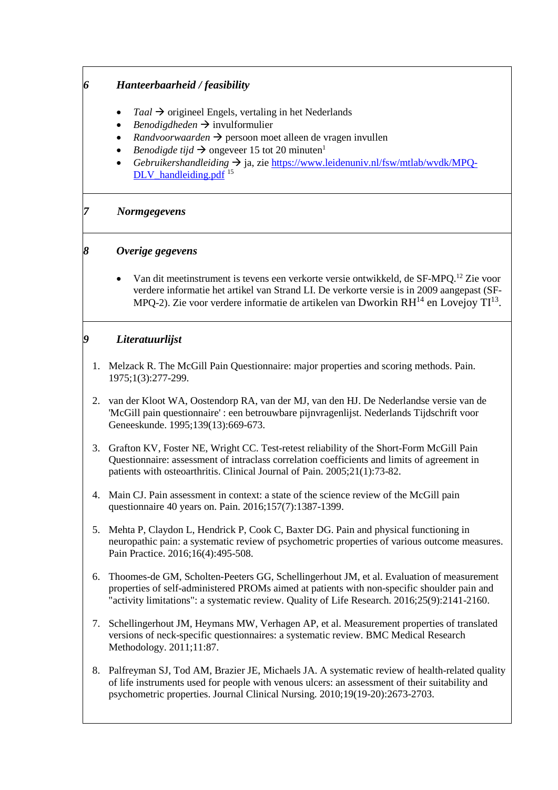# *6 Hanteerbaarheid / feasibility*

- $Taal \rightarrow$  origineel Engels, vertaling in het Nederlands
- *Benodigdheden*  $\rightarrow$  invulformulier
- *Randvoorwaarden* → persoon moet alleen de vragen invullen
- *Benodigde tijd*  $\rightarrow$  ongeveer 15 tot 20 minuten<sup>1</sup>
- *Gebruikershandleiding*  ja, zi[e https://www.leidenuniv.nl/fsw/mtlab/wvdk/MPQ-](https://www.leidenuniv.nl/fsw/mtlab/wvdk/MPQ-DLV_handleiding.pdf)[DLV\\_handleiding.pdf](https://www.leidenuniv.nl/fsw/mtlab/wvdk/MPQ-DLV_handleiding.pdf)<sup>15</sup>

#### *7 Normgegevens*

# *8 Overige gegevens*

• Van dit meetinstrument is tevens een verkorte versie ontwikkeld, de SF-MPQ.<sup>12</sup> Zie voor verdere informatie het artikel van Strand LI. De verkorte versie is in 2009 aangepast (SF-MPQ-2). Zie voor verdere informatie de artikelen van Dworkin  $RH^{14}$  en Lovejoy  $TI^{13}$ .

# *9 Literatuurlijst*

- 1. Melzack R. The McGill Pain Questionnaire: major properties and scoring methods. Pain. 1975;1(3):277-299.
- 2. van der Kloot WA, Oostendorp RA, van der MJ, van den HJ. De Nederlandse versie van de 'McGill pain questionnaire' : een betrouwbare pijnvragenlijst. Nederlands Tijdschrift voor Geneeskunde. 1995;139(13):669-673.
- 3. Grafton KV, Foster NE, Wright CC. Test-retest reliability of the Short-Form McGill Pain Questionnaire: assessment of intraclass correlation coefficients and limits of agreement in patients with osteoarthritis. Clinical Journal of Pain. 2005;21(1):73-82.
- 4. Main CJ. Pain assessment in context: a state of the science review of the McGill pain questionnaire 40 years on. Pain. 2016;157(7):1387-1399.
- 5. Mehta P, Claydon L, Hendrick P, Cook C, Baxter DG. Pain and physical functioning in neuropathic pain: a systematic review of psychometric properties of various outcome measures. Pain Practice. 2016;16(4):495-508.
- 6. Thoomes-de GM, Scholten-Peeters GG, Schellingerhout JM, et al. Evaluation of measurement properties of self-administered PROMs aimed at patients with non-specific shoulder pain and "activity limitations": a systematic review. Quality of Life Research. 2016;25(9):2141-2160.
- 7. Schellingerhout JM, Heymans MW, Verhagen AP, et al. Measurement properties of translated versions of neck-specific questionnaires: a systematic review. BMC Medical Research Methodology. 2011;11:87.
- 8. Palfreyman SJ, Tod AM, Brazier JE, Michaels JA. A systematic review of health-related quality of life instruments used for people with venous ulcers: an assessment of their suitability and psychometric properties. Journal Clinical Nursing. 2010;19(19-20):2673-2703.